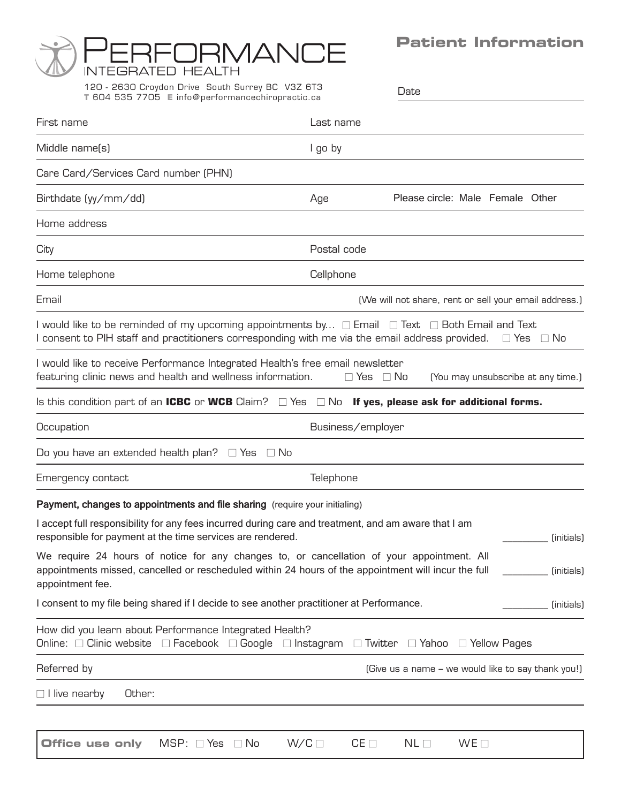# **Patient Information**

Date



120 - 2630 Croydon Drive South Surrey BC V3Z 6T3 **T** 604 535 7705 **E** info@per formancechiropractic.ca

| First name                                                                                                                                                                                                                               | Last name                                                  |
|------------------------------------------------------------------------------------------------------------------------------------------------------------------------------------------------------------------------------------------|------------------------------------------------------------|
| Middle name(s)                                                                                                                                                                                                                           | I go by                                                    |
| Care Card/Services Card number (PHN)                                                                                                                                                                                                     |                                                            |
| Birthdate (yy/mm/dd)                                                                                                                                                                                                                     | Please circle: Male Female Other<br>Age                    |
| Home address                                                                                                                                                                                                                             |                                                            |
| City                                                                                                                                                                                                                                     | Postal code                                                |
| Home telephone                                                                                                                                                                                                                           | Cellphone                                                  |
| Email                                                                                                                                                                                                                                    | (We will not share, rent or sell your email address.)      |
| I would like to be reminded of my upcoming appointments by $\Box$ Email $\Box$ Text $\Box$ Both Email and Text<br>I consent to PIH staff and practitioners corresponding with me via the email address provided.<br>$\Box$ Yes $\Box$ No |                                                            |
| I would like to receive Performance Integrated Health's free email newsletter<br>featuring clinic news and health and wellness information.                                                                                              | $\Box$ Yes $\Box$ No<br>(You may unsubscribe at any time.) |
| Is this condition part of an ICBC or WCB Claim? $\Box$ Yes $\Box$ No If yes, please ask for additional forms.                                                                                                                            |                                                            |
| Occupation                                                                                                                                                                                                                               | Business/employer                                          |
| Do you have an extended health plan? $\Box$ Yes $\Box$ No                                                                                                                                                                                |                                                            |
| Emergency contact                                                                                                                                                                                                                        | Telephone                                                  |
| Payment, changes to appointments and file sharing (require your initialing)                                                                                                                                                              |                                                            |
| I accept full responsibility for any fees incurred during care and treatment, and am aware that I am<br>responsible for payment at the time services are rendered.<br>(initials)                                                         |                                                            |
| We require 24 hours of notice for any changes to, or cancellation of your appointment. All<br>appointments missed, cancelled or rescheduled within 24 hours of the appointment will incur the full<br>(initials)<br>appointment fee.     |                                                            |
| I consent to my file being shared if I decide to see another practitioner at Performance.                                                                                                                                                | (initials)                                                 |
| How did you learn about Performance Integrated Health?<br>Online: □ Clinic website □ Facebook □ Google □ Instagram □ Twitter □ Yahoo □ Yellow Pages                                                                                      |                                                            |
| Referred by                                                                                                                                                                                                                              | (Give us a name - we would like to say thank you!)         |
| $\Box$ I live nearby<br>Other:                                                                                                                                                                                                           |                                                            |
|                                                                                                                                                                                                                                          |                                                            |
| $W/C \Box$<br>$MSP: \square Yes \square No$<br><b>Office use only</b>                                                                                                                                                                    | $CE \Box$<br>NL <sub>1</sub><br>WE                         |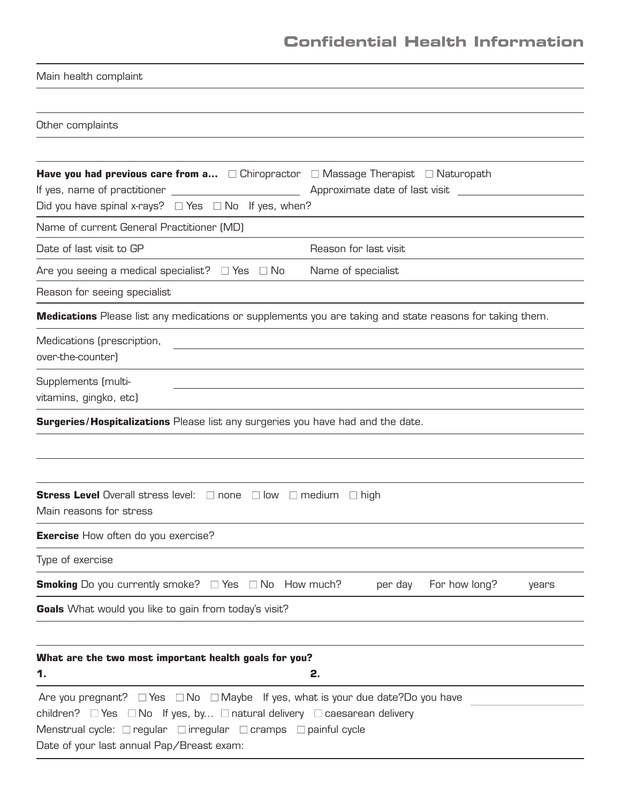# **Confidential Health Information**

| Main health complaint                                                                                                                                                                                                                                                                                                                      |                                   |
|--------------------------------------------------------------------------------------------------------------------------------------------------------------------------------------------------------------------------------------------------------------------------------------------------------------------------------------------|-----------------------------------|
|                                                                                                                                                                                                                                                                                                                                            |                                   |
| Other complaints                                                                                                                                                                                                                                                                                                                           |                                   |
|                                                                                                                                                                                                                                                                                                                                            |                                   |
| <b>Have you had previous care from a</b> $\Box$ Chiropractor $\Box$ Massage Therapist $\Box$ Naturopath<br>Did you have spinal x-rays? $\Box$ Yes $\Box$ No If yes, when?                                                                                                                                                                  | Approximate date of last visit    |
| Name of current General Practitioner (MD)                                                                                                                                                                                                                                                                                                  |                                   |
| Date of last visit to GP                                                                                                                                                                                                                                                                                                                   | Reason for last visit             |
| Are you seeing a medical specialist? $\Box$ Yes $\Box$ No                                                                                                                                                                                                                                                                                  | Name of specialist                |
| Reason for seeing specialist                                                                                                                                                                                                                                                                                                               |                                   |
| <b>Medications</b> Please list any medications or supplements you are taking and state reasons for taking them.                                                                                                                                                                                                                            |                                   |
| Medications (prescription,<br>over-the-counter)                                                                                                                                                                                                                                                                                            |                                   |
| Supplements (multi-<br>vitamins, gingko, etc)                                                                                                                                                                                                                                                                                              |                                   |
| <b>Surgeries/Hospitalizations</b> Please list any surgeries you have had and the date.                                                                                                                                                                                                                                                     |                                   |
|                                                                                                                                                                                                                                                                                                                                            |                                   |
| <b>Stress Level</b> Overall stress level: $\Box$ none $\Box$ low $\Box$ medium<br>Main reasons for stress                                                                                                                                                                                                                                  | $\Box$ high                       |
| <b>Exercise</b> How often do you exercise?                                                                                                                                                                                                                                                                                                 |                                   |
| Type of exercise                                                                                                                                                                                                                                                                                                                           |                                   |
| <b>Smoking</b> Do you currently smoke? $\Box$ Yes $\Box$ No How much?                                                                                                                                                                                                                                                                      | For how long?<br>per day<br>years |
| <b>Goals</b> What would you like to gain from today's visit?                                                                                                                                                                                                                                                                               |                                   |
|                                                                                                                                                                                                                                                                                                                                            |                                   |
| What are the two most important health goals for you?<br>1.                                                                                                                                                                                                                                                                                | 2.                                |
| Are you pregnant? $\square$ Yes $\square$ No $\square$ Maybe If yes, what is your due date? Do you have<br>children? $\Box$ Yes $\Box$ No If yes, by $\Box$ natural delivery $\Box$ caesarean delivery<br>Menstrual cycle: $\Box$ regular $\Box$ irregular $\Box$ cramps $\Box$ painful cycle<br>Date of your last annual Pap/Breast exam: |                                   |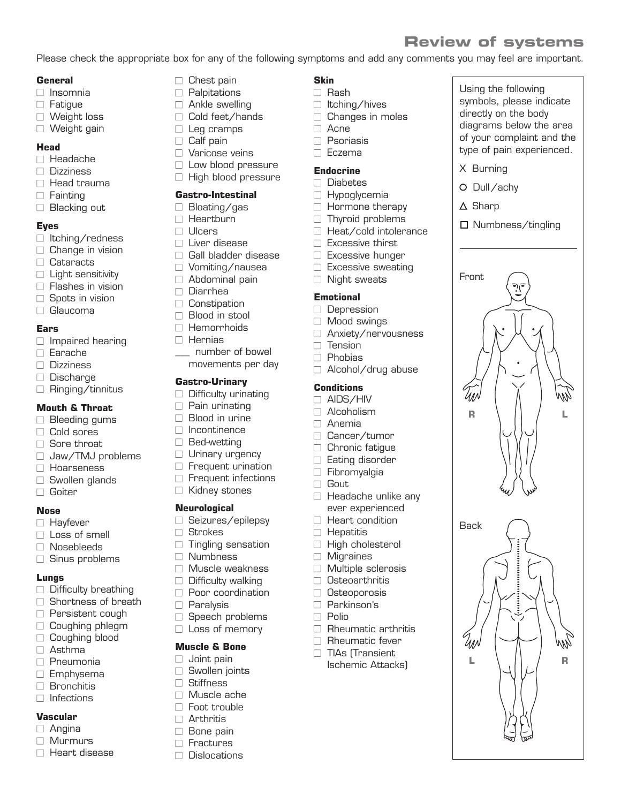# **Review of systems**

Using the following symbols, please indicate directly on the body diagrams below the area of your complaint and the type of pain experienced.

X Burning O Dull/achy

**X** Sharp

Front

ИЛЛ

**Back** 

UN

□ Numbness/tingling

**R L**

**L R**

Please check the appropriate box for any of the following symptoms and add any comments you may feel are important.

**Skin** ■ Rash

□ Acne □ Psoriasis ■ Eczema **Endocrine** ■ Diabetes  $\Box$  Hypoglycemia  $\Box$  Hormone therapy  $\Box$  Thyroid problems  $\Box$  Heat/cold intolerance  $\Box$  Excessive thirst □ Excessive hunger  $\Box$  Excessive sweating □ Night sweats

**Emotional** □ Depression □ Mood swings

 $\Box$  Tension □ Phobias

**Conditions**  $\Box$  AIDS/HIV □ Alcoholism □ Anemia

□ Gout

□ Cancer/tumor  $\Box$  Chronic fatique □ Eating disorder ■ Fibromyalgia

 $\Box$  Headache unlike any ever experienced  $\Box$  Heart condition  $\Box$  Hepatitis

□ High cholesterol □ Migraines

□ Multiple sclerosis □ Osteoarthritis □ Osteoporosis ■ Parkinson's ■ Polio

 $\Box$  Rheumatic arthritis  $\Box$  Rheumatic fever □ TIAs (Transient Ischemic Attacks)

□ Anxiety/nervousness

 $\Box$  Alcohol/drug abuse

 $\Box$  Itching/hives  $\Box$  Changes in moles

#### **General**

- Insomnia
- □ Fatigue
- □ Weight loss
- □ Weight gain

#### **Head**

- Headache
- Dizziness
- □ Head trauma
- □ Fainting
- □ Blacking out

## **Eyes**

- □ Itching/redness
- $\Box$  Change in vision
- Cataracts
- □ Light sensitivity
- $\Box$  Flashes in vision
- $\Box$  Spots in vision
- □ Glaucoma

## **Ears**

- $\Box$  Impaired hearing
- Earache
- Dizziness
- □ Discharge
- $\Box$  Ringing/tinnitus

# **Mouth & Throat**

- $\Box$  Bleeding gums
- □ Cold sores
- $\Box$  Sore throat
- □ Jaw/TMJ problems
- □ Hoarseness
- $\Box$  Swollen glands
- □ Goiter

#### **Nose**

- □ Havfever
- □ Loss of smell
- □ Nosebleeds
- $\Box$  Sinus problems

## **Lungs**

- $\Box$  Difficulty breathing
- $\Box$  Shortness of breath
- □ Persistent cough
- $\Box$  Coughing phlegm
- □ Coughing blood
- □ Asthma
- □ Pneumonia
- □ Emphysema
- □ Bronchitis
- $\Box$  Infections

## **Vascular**

- $\Box$  Angina
- □ Murmurs
- □ Heart disease
- $\Box$  Chest pain
- □ Palpitations
- $\Box$  Ankle swelling
- □ Cold feet/hands □ Leg cramps
	-
- $\Box$  Calf pain
- $\Box$  Varicose veins
- $\Box$  Low blood pressure
- □ High blood pressure

# **Gastro-Intestinal**

- □ Bloating/gas
- □ Heartburn
- Ulcers
- $\Box$  Liver disease
- $\Box$  Gall bladder disease
- □ Vomiting/nausea
- $\Box$  Abdominal pain
- Diarrhea
- □ Constipation
- $\Box$  Blood in stool
- Hemorrhoids
- $\Box$  Hernias
	- \_\_\_ number of bowel movements per day
- 

# **Gastro-Urinary**

- $\Box$  Difficulty urinating
- $\Box$  Pain urinating
- $\Box$  Blood in urine
- □ Incontinence
- □ Bed-wetting
- $\Box$  Urinary urgency
- $\Box$  Frequent urination
- $\Box$  Frequent infections
- □ Kidney stones

## **Neurological**

- □ Seizures/epilepsy
- □ Strokes
- $\Box$  Tingling sensation
- Numbness
- □ Muscle weakness
- □ Difficulty walking
- □ Poor coordination
- □ Paralysis
- $\Box$  Speech problems

**Muscle & Bone** □ Joint pain  $\Box$  Swollen joints ■ Stiffness  $\Box$  Muscle ache  $\Box$  Foot trouble □ Arthritis □ Bone pain □ Fractures □ Dislocations

□ Loss of memory